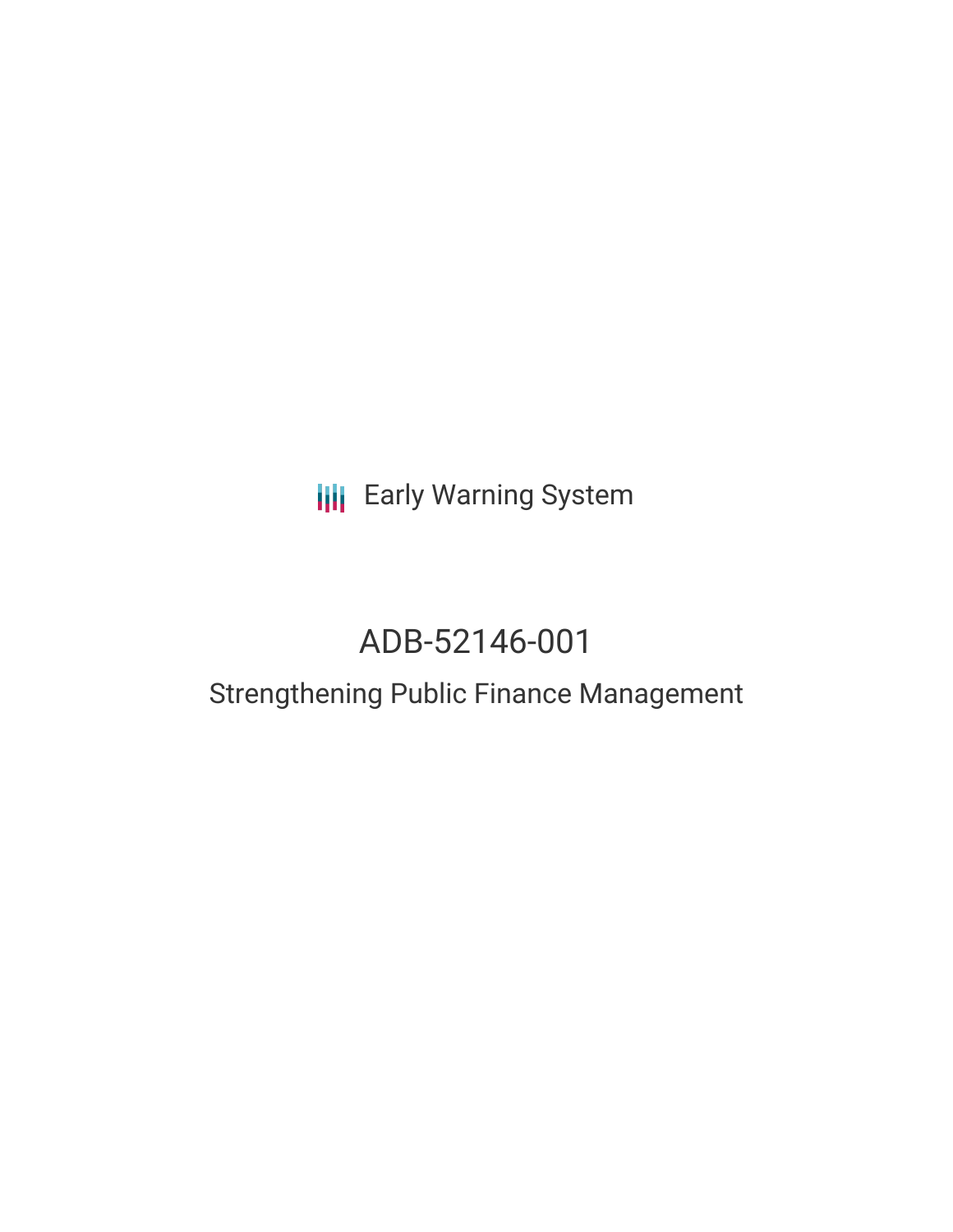## **III** Early Warning System

# ADB-52146-001

### Strengthening Public Finance Management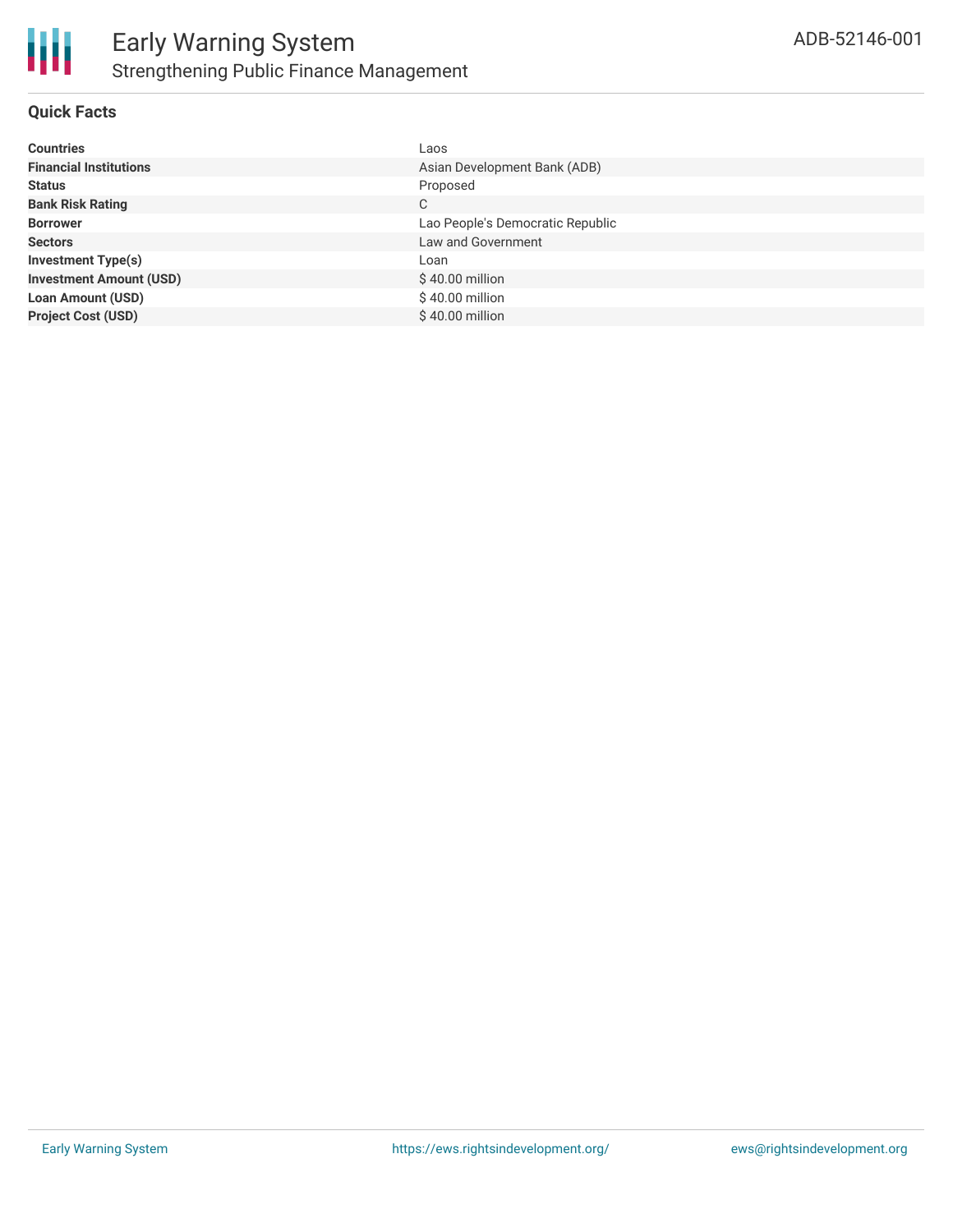

#### **Quick Facts**

| <b>Countries</b>               | Laos                             |
|--------------------------------|----------------------------------|
| <b>Financial Institutions</b>  | Asian Development Bank (ADB)     |
| <b>Status</b>                  | Proposed                         |
| <b>Bank Risk Rating</b>        | С                                |
| <b>Borrower</b>                | Lao People's Democratic Republic |
| <b>Sectors</b>                 | Law and Government               |
| <b>Investment Type(s)</b>      | Loan                             |
| <b>Investment Amount (USD)</b> | $$40.00$ million                 |
| <b>Loan Amount (USD)</b>       | \$40.00 million                  |
| <b>Project Cost (USD)</b>      | \$40.00 million                  |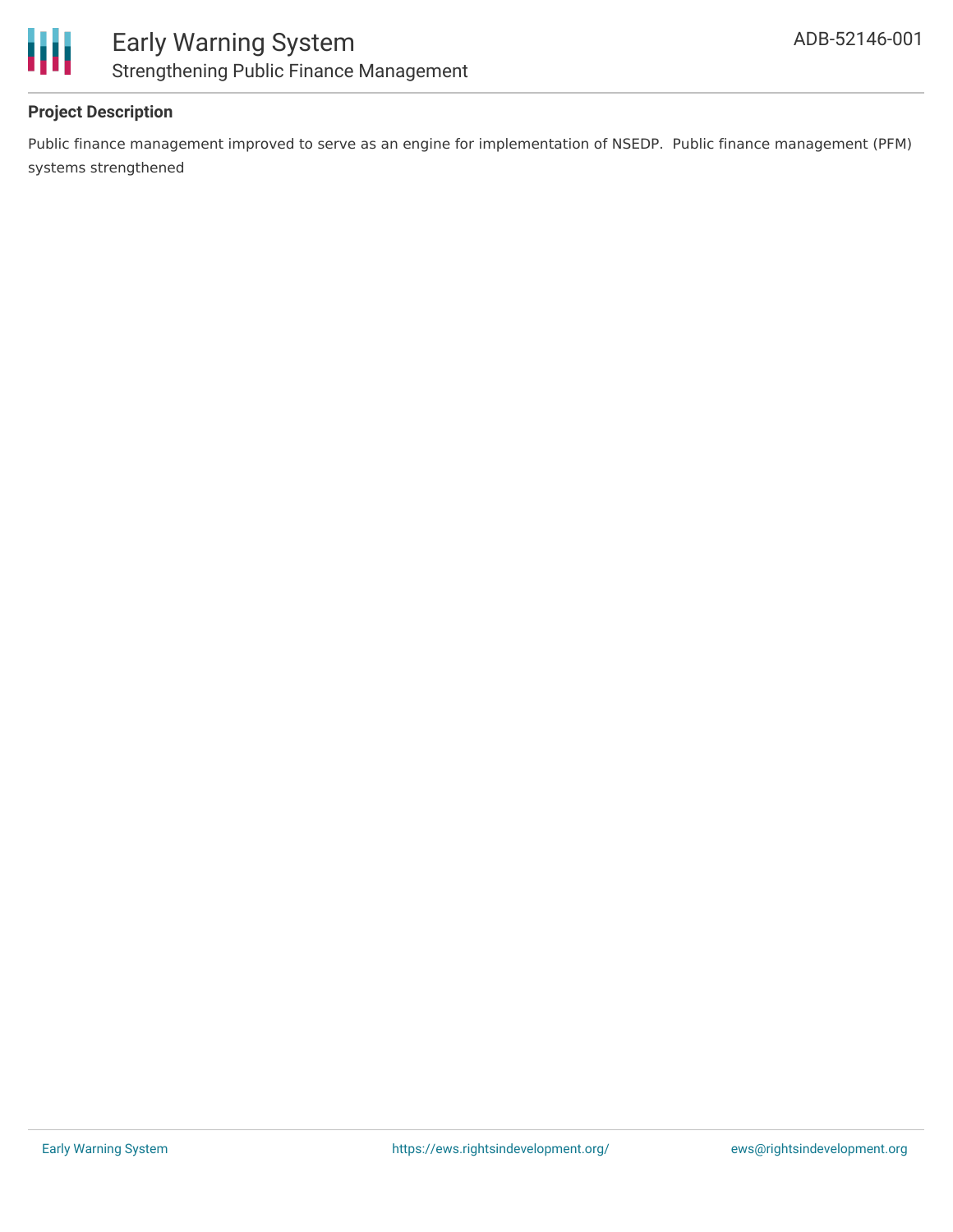

### **Project Description**

Public finance management improved to serve as an engine for implementation of NSEDP. Public finance management (PFM) systems strengthened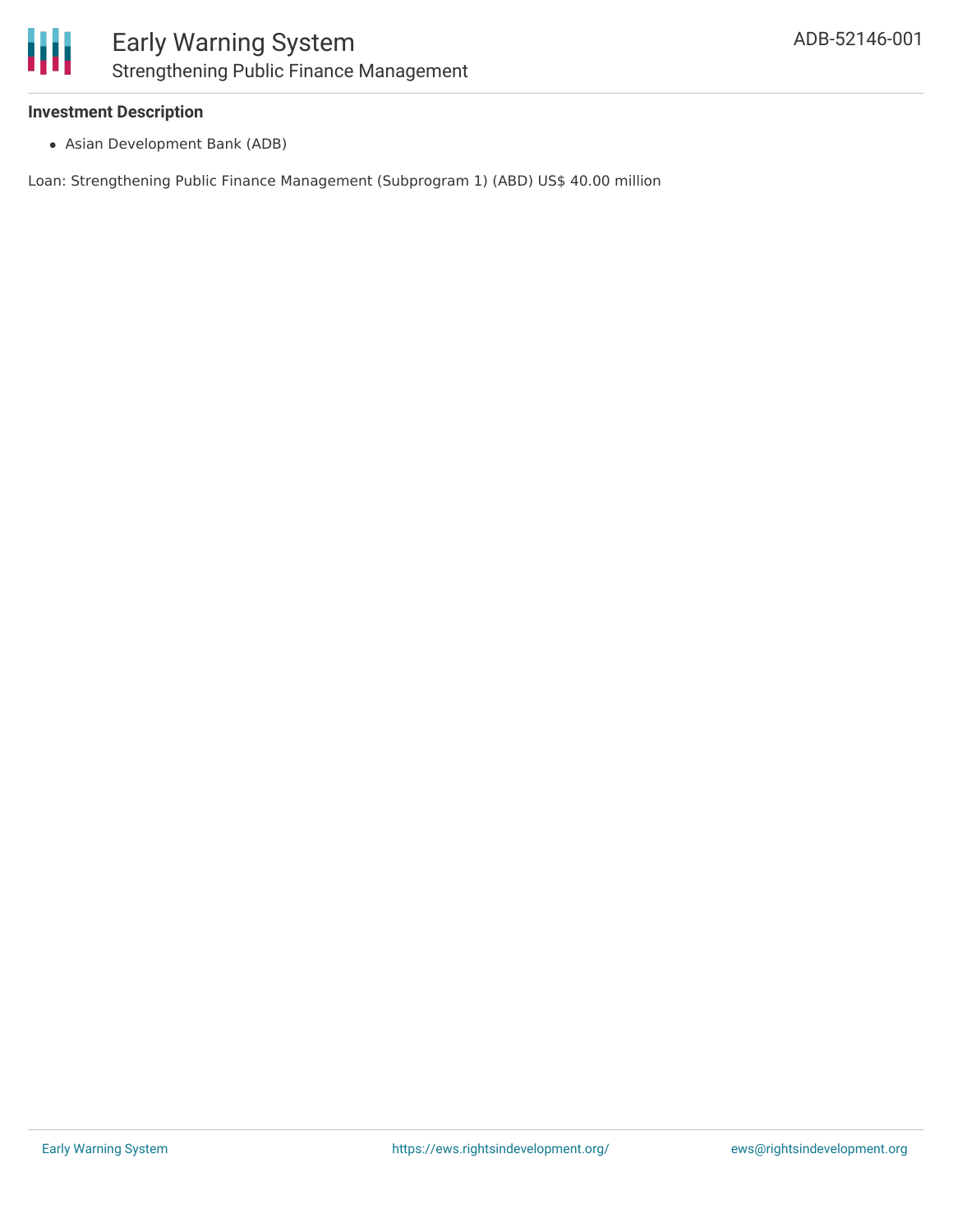

#### **Investment Description**

Asian Development Bank (ADB)

Loan: Strengthening Public Finance Management (Subprogram 1) (ABD) US\$ 40.00 million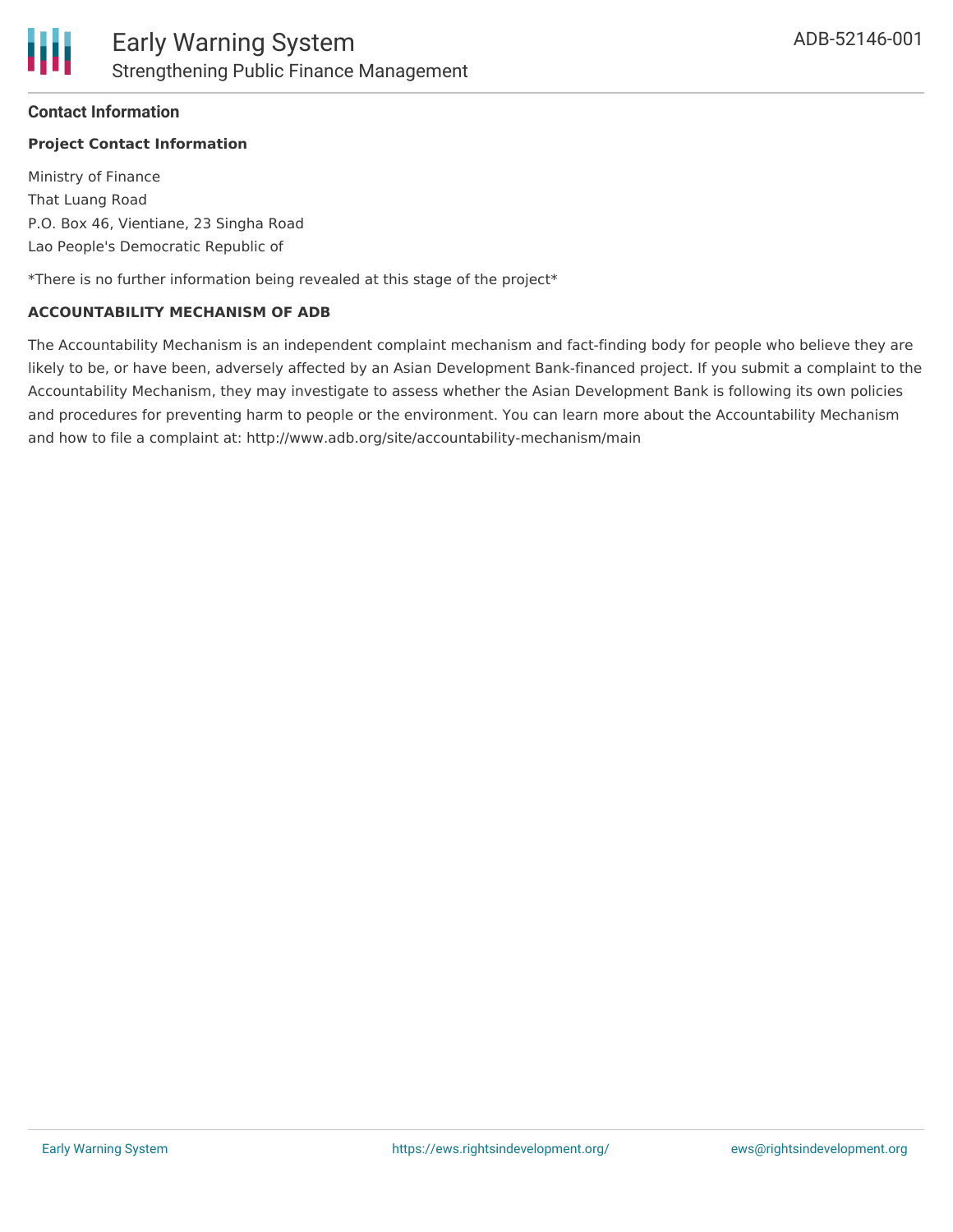#### **Contact Information**

#### **Project Contact Information**

Ministry of Finance That Luang Road P.O. Box 46, Vientiane, 23 Singha Road Lao People's Democratic Republic of

\*There is no further information being revealed at this stage of the project\*

#### **ACCOUNTABILITY MECHANISM OF ADB**

The Accountability Mechanism is an independent complaint mechanism and fact-finding body for people who believe they are likely to be, or have been, adversely affected by an Asian Development Bank-financed project. If you submit a complaint to the Accountability Mechanism, they may investigate to assess whether the Asian Development Bank is following its own policies and procedures for preventing harm to people or the environment. You can learn more about the Accountability Mechanism and how to file a complaint at: http://www.adb.org/site/accountability-mechanism/main